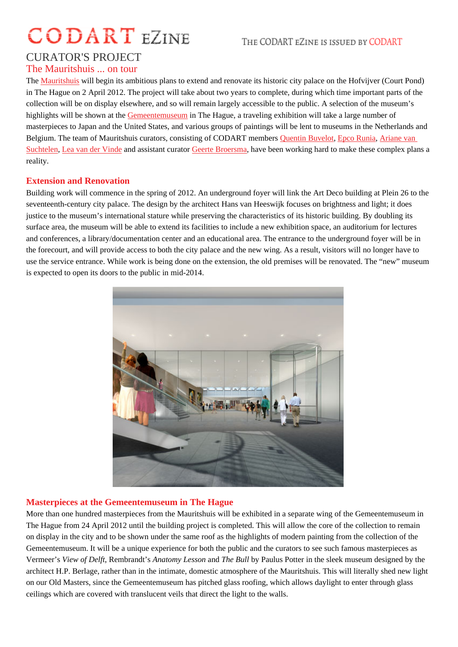# CURATOR'S PROJECT

# The Mauritshuis ... on tour

The Mauritshuis will begin its ambitious plans to extend and renovate its historic city palace on the Hofvijver (Court Pond) in The Hague on 2 April 2012. The project will take about two years to complete, during which time important parts of the collection will be on display elsewhere, and so will remain largely accessible to the public. A selection of the museum's hig[hlights will b](http://www.mauritshuis.nl)e shown at the emeentemuseum The Hague, a traveling exhibition will take a large number of masterpieces to Japan and the United States, and various groups of paintings will be lent to museums in the Netherlands and Belgium. The team of Mauritshuis curators, consisting of CODART ment buvelot Buvelot Epco Runia Ariane van SuchtelenLea van der Vindend assistant curator Geerte Broersma have been working hard to make these complex plans a reality.

#### [Extensio](http://www.codart.nl/108/persons/details/?person_id=197)[n and Renovati](http://www.codart.nl/108/curators/details/?person_id=1532)on

Building work will commence in the spring of 2[012. An undergr](http://www.codart.nl/108/curators/details/?person_id=2574)ound foyer will link the Art Deco building at Pleinh 26 to seventeenth-century city palace. The design by the architect Hans van Heeswijk focuses on brightness and light; it does justice to the museum's international stature while preserving the characteristics of its historic building. By doubling its surface area, the museum will be able to extend its facilities to include a new exhibition space, an auditorium for lectures and conferences, a library/documentation center and an educational area. The entrance to the underground foyer will be in the forecourt, and will provide access to both the city palace and the new wing. As a result, visitors will no longer have to use the service entrance. While work is being done on the extension, the old premises will be renovated. The "new" museum is expected to open its doors to the public in mid-2014.

## Masterpieces at the Gemeentemuseum in The Hague

More than one hundred masterpieces from the Mauritshuis will be exhibited in a separate wing of the Gemeentemuseum in The Hague from 24 April 2012 until the building project is completed. This will allow the core of the collection to remain on display in the city and to be shown under the same roof as the highlights of modern painting from the collection of the Gemeentemuseum. It will be a unique experience for both the public and the curators to see such famous masterpieces as Vermeer's View of Delft Rembrandt's Anatomy Lesson and The Bull by Paulus Potter in the sleek museum designed by the architect H.P. Berlage, rather than in the intimate, domestic atmosphere of the Mauritshuis. This will literally shed new light on our Old Masters, since the Gemeentemuseum has pitched glass roofing, which allows daylight to enter through glass ceilings which are covered with translucent veils that direct the light to the walls.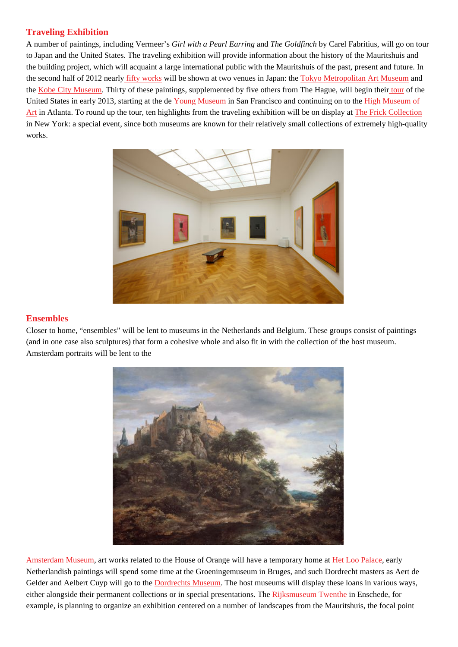A number of paintings, including Vermee Girl with a Pearl Earring and The Goldfinch by Carel Fabritius, will go on tour to Japan and the United States. The traveling exhibition will provide information about the history of the Mauritshuis and the building project, which will acquaint a large international public with the Mauritshuis of the past, present and future. In the second half of 2012 nearlity works will be shown at two venues in Japan: The you Metropolitan Art Museurand the Kobe City Museum Thirty of these paintings, supplemented by five others from The Hague, will begitotheif the United States in early 2013, starting at the deng Museum San Francisco and continuing on to the Museum of Art in Atlanta. To round up [the tour, te](http://www.codart.nl/exhibitions/details/2700/)n highlights from the traveling exhibition will be on display at rick Collection in [New York: a specia](http://www.city.kobe.lg.jp/culture/culture/institution/museum/)l event, since both museums are known for their relatively small collections of e[xtrem](http://www.codart.nl/exhibitions/details/2696/)ely high-quality works.

#### **Ensembles**

Closer to home, "ensembles" will be lent to museums in the Netherlands and Belgium. These groups consist of paintings (and in one case also sculptures) that form a cohesive whole and also fit in with the collection of the host museum. Amsterdam portraits will be lent to the

Amsterdam Museum art works related to the House of Orange will have a temporary home at abo Palace early Netherlandish paintings will spend some time at the Groeningemuseum in Bruges, and such Dordrecht masters as Aert de Gelder and Aelbert Cuyp will go to the Dordrechts Museum. The host museums will display these loans in various ways, [either alongside the](http://www.amsterdammuseum.nl/en)ir permanent collections or in special presentations. The Rightsmuseum Twenthe Enschede, for example, is planning to organize an exhibition centered on a number of landscapes from the Mauritshuis, the focal point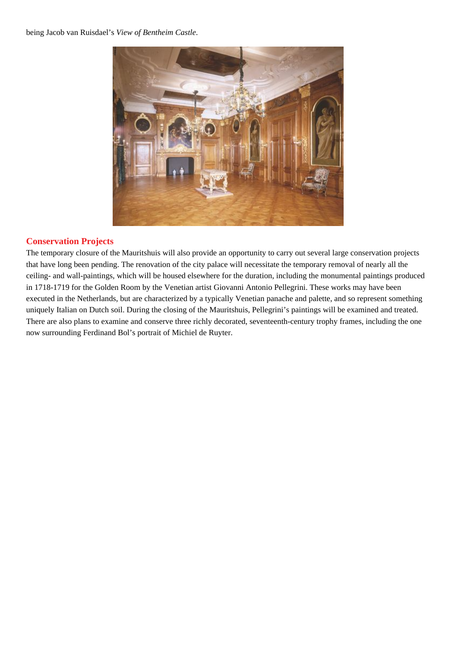being Jacob van Ruisdael's *View of Bentheim Castle*.



### **Conservation Projects**

The temporary closure of the Mauritshuis will also provide an opportunity to carry out several large conservation projects that have long been pending. The renovation of the city palace will necessitate the temporary removal of nearly all the ceiling- and wall-paintings, which will be housed elsewhere for the duration, including the monumental paintings produced in 1718-1719 for the Golden Room by the Venetian artist Giovanni Antonio Pellegrini. These works may have been executed in the Netherlands, but are characterized by a typically Venetian panache and palette, and so represent something uniquely Italian on Dutch soil. During the closing of the Mauritshuis, Pellegrini's paintings will be examined and treated. There are also plans to examine and conserve three richly decorated, seventeenth-century trophy frames, including the one now surrounding Ferdinand Bol's portrait of Michiel de Ruyter.